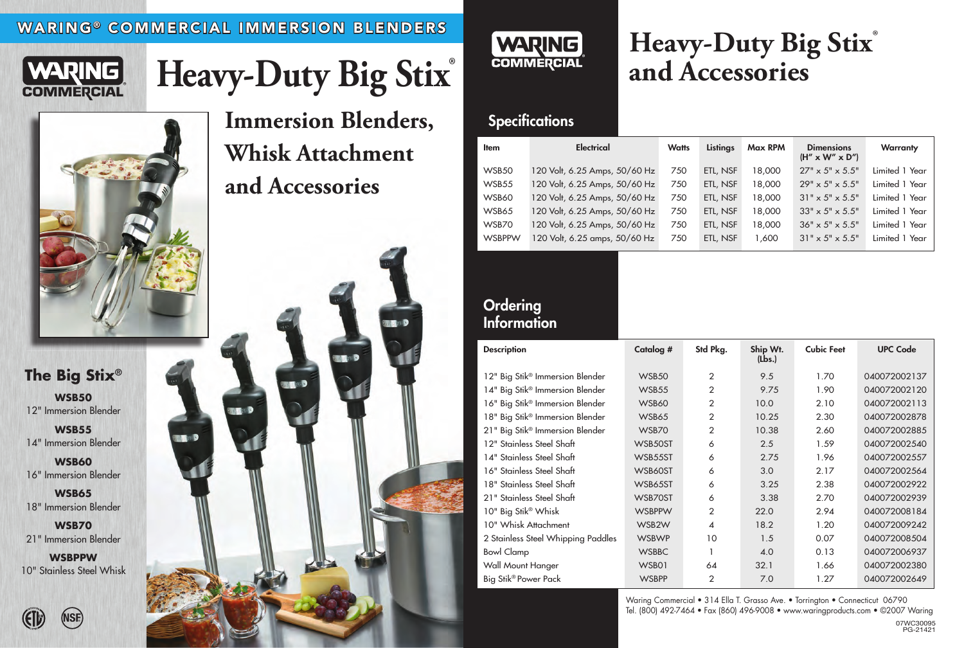### WARING® COMMERCIAL IMMERSION BLENDERS



# Heavy-Duty Big Stix®







| <b>Item</b>   | <b>Electrical</b>             | <b>Watts</b> | Listings | <b>Max RPM</b> | <b>Dimensions</b><br>$(H'' \times W'' \times D'')$ | <b>Warranty</b> |
|---------------|-------------------------------|--------------|----------|----------------|----------------------------------------------------|-----------------|
| WSB50         | 120 Volt, 6.25 Amps, 50/60 Hz | 750          | ETL, NSF | 000,81         | $27'' \times 5'' \times 5.5''$                     | Limited 1 Year  |
| WSB55         | 120 Volt, 6.25 Amps, 50/60 Hz | 750          | ETL, NSF | 18,000         | $29'' \times 5'' \times 5.5''$                     | Limited 1 Year  |
| WSB60         | 120 Volt, 6.25 Amps, 50/60 Hz | 750          | ETL, NSF | 18,000         | $31'' \times 5'' \times 5.5''$                     | Limited 1 Year  |
| WSB65         | 120 Volt, 6.25 Amps, 50/60 Hz | 750          | ETL, NSF | 18,000         | $33'' \times 5'' \times 5.5''$                     | Limited 1 Year  |
| WSB70         | 120 Volt, 6.25 Amps, 50/60 Hz | 750          | ETL, NSF | 18,000         | $36" \times 5" \times 5.5"$                        | Limited 1 Year  |
| <b>WSBPPW</b> | 120 Volt, 6.25 amps, 50/60 Hz | 750          | ETL, NSF | 1,600          | $31'' \times 5'' \times 5.5''$                     | Limited 1 Year  |

### **Ordering Information**

## **Heavy-Duty Big Stix**® **and Accessories**

### **Specifications**

**WSB50** 12" Immersion Blender

**WSB55** 14" Immersion Blender

**WSB60** 16" Immersion Blender

**WSB65** 18" Immersion Blender

**WSB70** 21" Immersion Blender

**WSBPPW** 10" Stainless Steel Whisk



**Immersion Blenders, Whisk Attachment and Accessories**

> Waring Commercial • 314 Ella T. Grasso Ave. • Torrington • Connecticut 06790 Tel. (800) 492-7464 • Fax (860) 496-9008 • www.waringproducts.com • ©2007 Waring 07WC30095 PG-21421

| <b>Description</b>                          | Catalog #     | Std Pkg.         | Ship Wt.<br>(Lbs.) | <b>Cubic Feet</b> | <b>UPC Code</b> |
|---------------------------------------------|---------------|------------------|--------------------|-------------------|-----------------|
| 12" Big Stik <sup>®</sup> Immersion Blender | WSB50         | $\overline{2}$   | 9.5                | 1.70              | 040072002137    |
| 14" Big Stik® Immersion Blender             | WSB55         | $\overline{2}$   | 9.75               | 1.90              | 040072002120    |
| 16" Big Stik® Immersion Blender             | WSB60         | $\overline{2}$   | 10.0               | 2.10              | 040072002113    |
| 18" Big Stik <sup>®</sup> Immersion Blender | WSB65         | $\overline{2}$   | 10.25              | 2.30              | 040072002878    |
| 21" Big Stik® Immersion Blender             | WSB70         | $\overline{2}$   | 10.38              | 2.60              | 040072002885    |
| 12" Stainless Steel Shaft                   | WSB50ST       | 6                | 2.5                | 1.59              | 040072002540    |
| 14" Stainless Steel Shaft                   | WSB55ST       | 6                | 2.75               | 1.96              | 040072002557    |
| 16" Stainless Steel Shaft                   | WSB60ST       | 6                | 3.0                | 2.17              | 040072002564    |
| 18" Stainless Steel Shaft                   | WSB65ST       | 6                | 3.25               | 2.38              | 040072002922    |
| 21" Stainless Steel Shaft                   | WSB70ST       | 6                | 3.38               | 2.70              | 040072002939    |
| 10" Big Stik® Whisk                         | <b>WSBPPW</b> | $\overline{2}$   | 22.0               | 2.94              | 040072008184    |
| 10" Whisk Attachment                        | WSB2W         | $\boldsymbol{4}$ | 18.2               | 1.20              | 040072009242    |
| 2 Stainless Steel Whipping Paddles          | <b>WSBWP</b>  | 10               | 1.5                | 0.07              | 040072008504    |
| <b>Bowl Clamp</b>                           | <b>WSBBC</b>  | 1                | 4.0                | 0.13              | 040072006937    |
| Wall Mount Hanger                           | WSB01         | 64               | 32.1               | 1.66              | 040072002380    |
| Big Stik <sup>®</sup> Power Pack            | <b>WSBPP</b>  | $\overline{2}$   | 7.0                | 1.27              | 040072002649    |